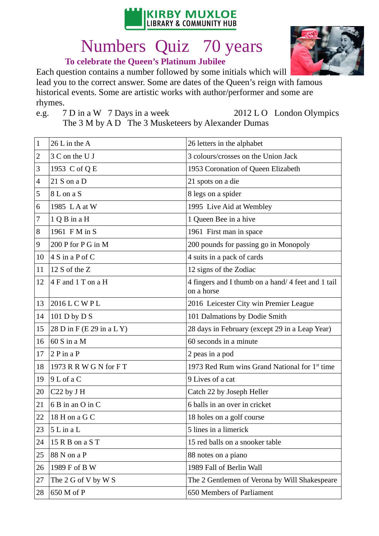

## Numbers Quiz 70 years

## **To celebrate the Queen's Platinum Jubilee**

Each question contains a number followed by some initials which will lead you to the correct answer. Some are dates of the Queen's reign with famous historical events. Some are artistic works with author/performer and some are rhymes.

 $e.g.$ 

7 D in a W 7 Days in a week 2012 L O London Olympics

The 3 M by A D The 3 Musketeers by Alexander Dumas

| 1              | 26 L in the A             | 26 letters in the alphabet                                       |
|----------------|---------------------------|------------------------------------------------------------------|
| $\overline{2}$ | 3 C on the U J            | 3 colours/crosses on the Union Jack                              |
| 3              | 1953 C of Q E             | 1953 Coronation of Queen Elizabeth                               |
| 4              | $21 S$ on a D             | 21 spots on a die                                                |
| 5              | 8 L on a S                | 8 legs on a spider                                               |
| 6              | 1985 L A at W             | 1995 Live Aid at Wembley                                         |
| 7              | $1Q$ B in a H             | 1 Queen Bee in a hive                                            |
| 8              | 1961 F M in S             | 1961 First man in space                                          |
| 9              | 200 P for P G in M        | 200 pounds for passing go in Monopoly                            |
| 10             | 4 S in a P of C           | 4 suits in a pack of cards                                       |
| 11             | 12 S of the Z             | 12 signs of the Zodiac                                           |
| 12             | 4 F and 1 T on a H        | 4 fingers and I thumb on a hand/ 4 feet and 1 tail<br>on a horse |
| 13             | 2016 L C W P L            | 2016 Leicester City win Premier League                           |
| 14             | 101 D by D S              | 101 Dalmations by Dodie Smith                                    |
| 15             | 28 D in F (E 29 in a L Y) | 28 days in February (except 29 in a Leap Year)                   |
| 16             | $60 S$ in a M             | 60 seconds in a minute                                           |
| 17             | $2P$ in a $P$             | 2 peas in a pod                                                  |
| 18             | 1973 R R W G N for F T    | 1973 Red Rum wins Grand National for 1 <sup>st</sup> time        |
| 19             | 9 L of a C                | 9 Lives of a cat                                                 |
| 20             | C22 by J H                | Catch 22 by Joseph Heller                                        |
| 21             | 6 B in an O in C          | 6 balls in an over in cricket                                    |
| 22             | 18 H on a G C             | 18 holes on a golf course                                        |
| 23             | $5L$ in a $L$             | 5 lines in a limerick                                            |
| 24             | 15 R B on a S T           | 15 red balls on a snooker table                                  |
| 25             | 88 N on a P               | 88 notes on a piano                                              |
| 26             | 1989 F of B W             | 1989 Fall of Berlin Wall                                         |
| 27             | The 2 G of V by W S       | The 2 Gentlemen of Verona by Will Shakespeare                    |
| 28             | 650 M of P                | 650 Members of Parliament                                        |